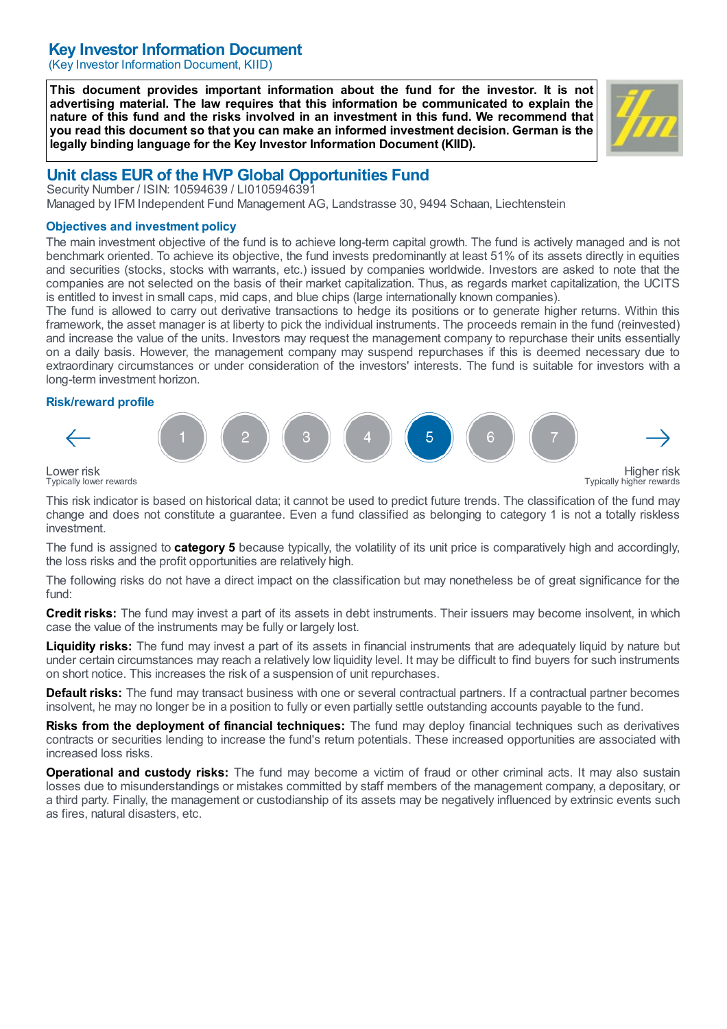## Key Investor Information Document

(Key Investor Information Document, KIID)

This document provides important information about the fund for the investor. It is not advertising material. The law requires that this information be communicated to explain the nature of this fund and the risks involved in an investment in this fund. We recommend that you read this document so that you can make an informed investment decision. German is the legally binding language for the Key Investor Information Document (KIID).



# Unit class EUR of the HVP Global Opportunities Fund

Security Number / ISIN: 10594639 / LI0105946391 Managed by IFM Independent Fund Management AG, Landstrasse 30, 9494 Schaan, Liechtenstein

#### Objectives and investment policy

The main investment objective of the fund is to achieve long-term capital growth. The fund is actively managed and is not benchmark oriented. To achieve its objective, the fund invests predominantly at least 51% of its assets directly in equities and securities (stocks, stocks with warrants, etc.) issued by companies worldwide. Investors are asked to note that the companies are not selected on the basis of their market capitalization. Thus, as regards market capitalization, the UCITS is entitled to invest in small caps, mid caps, and blue chips (large internationally known companies).

The fund is allowed to carry out derivative transactions to hedge its positions or to generate higher returns. Within this framework, the asset manager is at liberty to pick the individual instruments. The proceeds remain in the fund (reinvested) and increase the value of the units. Investors may request the management company to repurchase their units essentially on a daily basis. However, the management company may suspend repurchases if this is deemed necessary due to extraordinary circumstances or under consideration of the investors' interests. The fund is suitable for investors with a long-term investment horizon.

#### Risk/reward profile



Typically lower rewards

This risk indicator is based on historical data; it cannot be used to predict future trends. The classification of the fund may change and does not constitute a guarantee. Even a fund classified as belonging to category 1 is not a totally riskless investment.

The fund is assigned to **category 5** because typically, the volatility of its unit price is comparatively high and accordingly, the loss risks and the profit opportunities are relatively high.

The following risks do not have a direct impact on the classification but may nonetheless be of great significance for the fund:

Credit risks: The fund may invest a part of its assets in debt instruments. Their issuers may become insolvent, in which case the value of the instruments may be fully or largely lost.

Liquidity risks: The fund may invest a part of its assets in financial instruments that are adequately liquid by nature but under certain circumstances may reach a relatively low liquidity level. It may be difficult to find buyers for such instruments on short notice. This increases the risk of a suspension of unit repurchases.

**Default risks:** The fund may transact business with one or several contractual partners. If a contractual partner becomes insolvent, he may no longer be in a position to fully or even partially settle outstanding accounts payable to the fund.

Risks from the deployment of financial techniques: The fund may deploy financial techniques such as derivatives contracts or securities lending to increase the fund's return potentials. These increased opportunities are associated with increased loss risks.

Operational and custody risks: The fund may become a victim of fraud or other criminal acts. It may also sustain losses due to misunderstandings or mistakes committed by staff members of the management company, a depositary, or a third party. Finally, the management or custodianship of its assets may be negatively influenced by extrinsic events such as fires, natural disasters, etc.

Higher risk Typically higher rewards